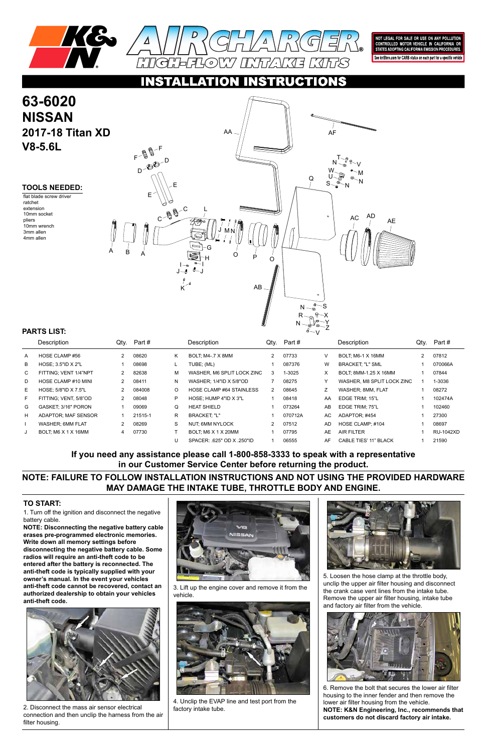

NOT LEGAL FOR SALE OR USE ON ANY POLLUTION<br>CONTROLLED MOTOR VEHICLE IN CALIFORNIA OR<br>STATES ADOPTING CALIFORNIA EMISSION PROCEDURES.

See knfilters.com for CARB status on each part for a specific vehicle

#### C TIO

1. Turn off the ignition and disconnect the negative battery cable.

**NOTE: Disconnecting the negative battery cable erases pre-programmed electronic memories. Write down all memory settings before disconnecting the negative battery cable. Some radios will require an anti-theft code to be entered after the battery is reconnected. The anti-theft code is typically supplied with your owner's manual. In the event your vehicles anti-theft code cannot be recovered, contact an authorized dealership to obtain your vehicles anti-theft code.**







# **63-6020 NISSAN 2017-18 Titan XD V8-5.6L**

#### **TO START:**

#### **TOOLS NEEDED:**

flat blade screw driver ratchet extension 10mm socket pliers 10mm wrench 3mm allen 4mm allen

### **NOTE: FAILURE TO FOLLOW INSTALLATION INSTRUCTIONS AND NOT USING THE PROVIDED HARDWARE MAY DAMAGE THE INTAKE TUBE, THROTTLE BODY AND ENGINE.**

### **If you need any assistance please call 1-800-858-3333 to speak with a representative in our Customer Service Center before returning the product.**

| PARIS LISI:  |                         |                      |         |         | $\sim$ $\wedge$            |                |         |           |                              |                      |                  |
|--------------|-------------------------|----------------------|---------|---------|----------------------------|----------------|---------|-----------|------------------------------|----------------------|------------------|
|              | Description             | Qty.                 | Part #  |         | Description                | Qty.           | Part #  |           | Description                  | Qty.                 | Part #           |
| $\mathsf{A}$ | HOSE CLAMP #56          | $\overline{2}$       | 08620   | Κ       | BOLT, M4-.7 X 8MM          | $\overline{2}$ | 07733   | v         | BOLT; M6-1 X 16MM            | $\mathbf{2}^{\circ}$ | 07812            |
| В            | HOSE: 3.5"ID X 2"L      |                      | 08698   |         | TUBE; (ML)                 |                | 087376  | W         | <b>BRACKET: "L" SML</b>      |                      | 070066A          |
| C            | FITTING; VENT 1/4"NPT   | $\mathbf{2}$         | 82638   | м       | WASHER, M6 SPLIT LOCK ZINC | 3              | 1-3025  | X         | BOLT; 8MM-1.25 X 16MM        |                      | 07844            |
| D            | HOSE CLAMP #10 MINI     | 2                    | 08411   | N       | WASHER; 1/4"ID X 5/8"OD    |                | 08275   | Υ         | WASHER, M8 SPLIT LOCK ZINC   |                      | 1-3036           |
| E            | HOSE: 5/8"ID X 7.5"L    |                      | 084008  | $\circ$ | HOSE CLAMP #64 STAINLESS   | $\overline{2}$ | 08645   | Z         | WASHER; 8MM, FLAT            |                      | 08272            |
| F            | FITTING; VENT, 5/8"OD   | 2                    | 08048   | P       | HOSE; HUMP 4"ID X 3"L      |                | 08418   | AA        | EDGE TRIM; 15"L              |                      | 102474A          |
| G            | GASKET, 3/16" PORON     |                      | 09069   | Q       | <b>HEAT SHIELD</b>         |                | 073264  | AB        | EDGE TRIM; 75"L              |                      | 102460           |
| H            | ADAPTOR: MAF SENSOR     |                      | 21515-1 | R.      | <b>BRACKET: "L"</b>        |                | 070712A | AC.       | ADAPTOR: #454                |                      | 27300            |
|              | <b>WASHER: 6MM FLAT</b> | $\mathbf{2}^{\circ}$ | 08269   | S       | NUT: 6MM NYLOCK            | $\overline{2}$ | 07512   | <b>AD</b> | HOSE CLAMP: #104             |                      | 08697            |
| J            | BOLT, M6 X 1 X 16MM     | 4                    | 07730   |         | BOLT, M6 X 1 X 20MM        |                | 07795   | AE        | <b>AIR FILTER</b>            |                      | <b>RU-1042XD</b> |
|              |                         |                      |         | U       | SPACER: 625" OD X .250"ID  |                | 06555   | AF        | <b>CABLE TIES' 11" BLACK</b> |                      | 21590            |

#### **PARTS LIST:**



2. Disconnect the mass air sensor electrical connection and then unclip the harness from the air filter housing.

3. Lift up the engine cover and remove it from the vehicle.



4. Unclip the EVAP line and test port from the factory intake tube.

5. Loosen the hose clamp at the throttle body, unclip the upper air filter housing and disconnect the crank case vent lines from the intake tube. Remove the upper air filter housing, intake tube and factory air filter from the vehicle.



6. Remove the bolt that secures the lower air filter housing to the inner fender and then remove the lower air filter housing from the vehicle. **NOTE: K&N Engineering, Inc., recommends that customers do not discard factory air intake.**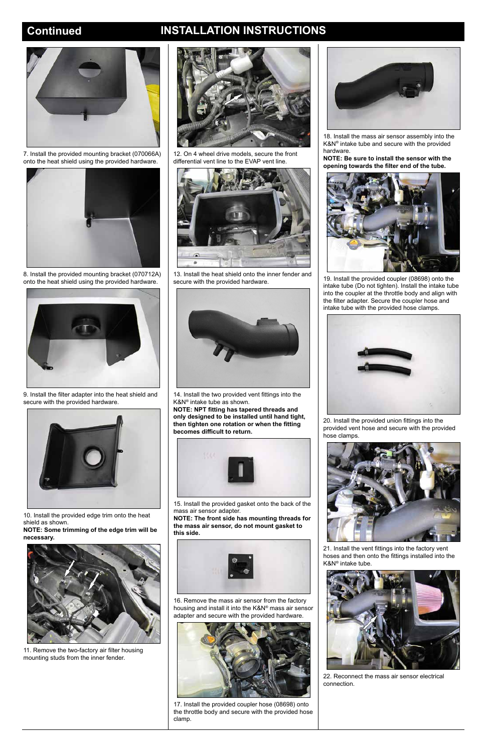## **Continued INSTALLATION INSTRUCTIONS**



7. Install the provided mounting bracket (070066A) onto the heat shield using the provided hardware.



8. Install the provided mounting bracket (070712A) onto the heat shield using the provided hardware.



9. Install the filter adapter into the heat shield and secure with the provided hardware.



10. Install the provided edge trim onto the heat shield as shown.

**NOTE: Some trimming of the edge trim will be necessary.**



11. Remove the two-factory air filter housing mounting studs from the inner fender.





12. On 4 wheel drive models, secure the front differential vent line to the EVAP vent line.



13. Install the heat shield onto the inner fender and secure with the provided hardware.



14. Install the two provided vent fittings into the K&N® intake tube as shown.

**NOTE: NPT fitting has tapered threads and only designed to be installed until hand tight, then tighten one rotation or when the fitting becomes difficult to return.** 



15. Install the provided gasket onto the back of the mass air sensor adapter.

**NOTE: The front side has mounting threads for the mass air sensor, do not mount gasket to this side.**



16. Remove the mass air sensor from the factory housing and install it into the K&N® mass air sensor adapter and secure with the provided hardware.



17. Install the provided coupler hose (08698) onto the throttle body and secure with the provided hose clamp.

18. Install the mass air sensor assembly into the K&N® intake tube and secure with the provided hardware.

**NOTE: Be sure to install the sensor with the opening towards the filter end of the tube.**



19. Install the provided coupler (08698) onto the intake tube (Do not tighten). Install the intake tube into the coupler at the throttle body and align with the filter adapter. Secure the coupler hose and intake tube with the provided hose clamps.



20. Install the provided union fittings into the provided vent hose and secure with the provided hose clamps.



21. Install the vent fittings into the factory vent

hoses and then onto the fittings installed into the K&N® intake tube.



22. Reconnect the mass air sensor electrical connection.